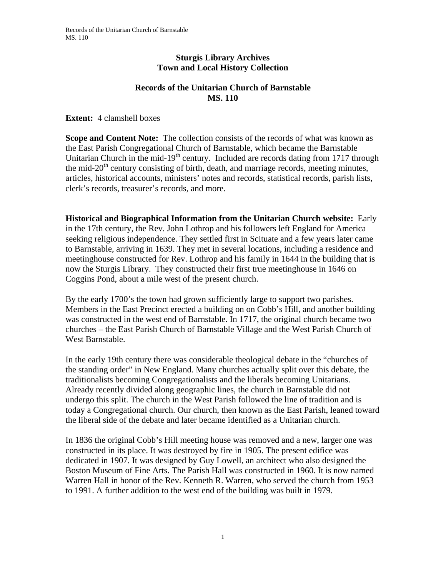## **Sturgis Library Archives Town and Local History Collection**

## **Records of the Unitarian Church of Barnstable MS. 110**

**Extent:** 4 clamshell boxes

**Scope and Content Note:** The collection consists of the records of what was known as the East Parish Congregational Church of Barnstable, which became the Barnstable Unitarian Church in the mid-19<sup>th</sup> century. Included are records dating from 1717 through the mid- $20<sup>th</sup>$  century consisting of birth, death, and marriage records, meeting minutes, articles, historical accounts, ministers' notes and records, statistical records, parish lists, clerk's records, treasurer's records, and more.

**Historical and Biographical Information from the Unitarian Church website:** Early in the 17th century, the Rev. John Lothrop and his followers left England for America seeking religious independence. They settled first in Scituate and a few years later came to Barnstable, arriving in 1639. They met in several locations, including a residence and meetinghouse constructed for Rev. Lothrop and his family in 1644 in the building that is now the Sturgis Library. They constructed their first true meetinghouse in 1646 on Coggins Pond, about a mile west of the present church.

By the early 1700's the town had grown sufficiently large to support two parishes. Members in the East Precinct erected a building on on Cobb's Hill, and another building was constructed in the west end of Barnstable. In 1717, the original church became two churches – the East Parish Church of Barnstable Village and the West Parish Church of West Barnstable.

In the early 19th century there was considerable theological debate in the "churches of the standing order" in New England. Many churches actually split over this debate, the traditionalists becoming Congregationalists and the liberals becoming Unitarians. Already recently divided along geographic lines, the church in Barnstable did not undergo this split. The church in the West Parish followed the line of tradition and is today a Congregational church. Our church, then known as the East Parish, leaned toward the liberal side of the debate and later became identified as a Unitarian church.

In 1836 the original Cobb's Hill meeting house was removed and a new, larger one was constructed in its place. It was destroyed by fire in 1905. The present edifice was dedicated in 1907. It was designed by Guy Lowell, an architect who also designed the Boston Museum of Fine Arts. The Parish Hall was constructed in 1960. It is now named Warren Hall in honor of the Rev. Kenneth R. Warren, who served the church from 1953 to 1991. A further addition to the west end of the building was built in 1979.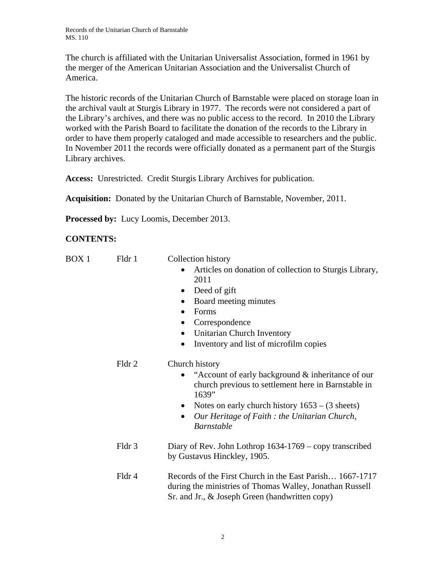Records of the Unitarian Church of Barnstable MS. 110

The church is affiliated with the Unitarian Universalist Association, formed in 1961 by the merger of the American Unitarian Association and the Universalist Church of America.

The historic records of the Unitarian Church of Barnstable were placed on storage loan in the archival vault at Sturgis Library in 1977. The records were not considered a part of the Library's archives, and there was no public access to the record. In 2010 the Library worked with the Parish Board to facilitate the donation of the records to the Library in order to have them properly cataloged and made accessible to researchers and the public. In November 2011 the records were officially donated as a permanent part of the Sturgis Library archives.

**Access:** Unrestricted. Credit Sturgis Library Archives for publication.

**Acquisition:** Donated by the Unitarian Church of Barnstable, November, 2011.

**Processed by:** Lucy Loomis, December 2013.

## **CONTENTS:**

| BOX 1 | Fldr 1 | Collection history<br>Articles on donation of collection to Sturgis Library,<br>2011<br>Deed of gift<br>$\bullet$<br>Board meeting minutes<br>$\bullet$                |
|-------|--------|------------------------------------------------------------------------------------------------------------------------------------------------------------------------|
|       |        | Forms<br>$\bullet$                                                                                                                                                     |
|       |        | Correspondence<br>Unitarian Church Inventory<br>$\bullet$                                                                                                              |
|       |        | Inventory and list of microfilm copies                                                                                                                                 |
|       | Fldr 2 | Church history                                                                                                                                                         |
|       |        | "Account of early background & inheritance of our<br>$\bullet$<br>church previous to settlement here in Barnstable in<br>1639"                                         |
|       |        | Notes on early church history $1653 - (3 \text{ sheets})$<br>$\bullet$                                                                                                 |
|       |        | Our Heritage of Faith : the Unitarian Church,<br>$\bullet$<br><b>Barnstable</b>                                                                                        |
|       | Fldr 3 | Diary of Rev. John Lothrop 1634-1769 – copy transcribed<br>by Gustavus Hinckley, 1905.                                                                                 |
|       | Fldr 4 | Records of the First Church in the East Parish 1667-1717<br>during the ministries of Thomas Walley, Jonathan Russell<br>Sr. and Jr., & Joseph Green (handwritten copy) |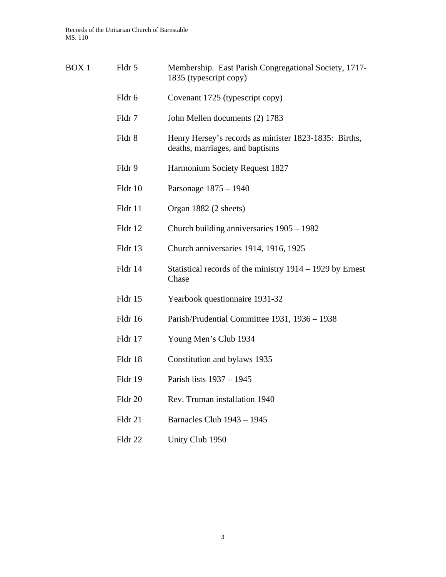Records of the Unitarian Church of Barnstable MS. 110

| BOX1 | Fldr 5  | Membership. East Parish Congregational Society, 1717-<br>1835 (typescript copy)          |
|------|---------|------------------------------------------------------------------------------------------|
|      | Fldr 6  | Covenant 1725 (typescript copy)                                                          |
|      | Fldr 7  | John Mellen documents (2) 1783                                                           |
|      | Fldr 8  | Henry Hersey's records as minister 1823-1835: Births,<br>deaths, marriages, and baptisms |
|      | Fldr 9  | Harmonium Society Request 1827                                                           |
|      | Fldr 10 | Parsonage 1875 - 1940                                                                    |
|      | Fldr 11 | Organ 1882 (2 sheets)                                                                    |
|      | Fldr 12 | Church building anniversaries $1905 - 1982$                                              |
|      | Fldr 13 | Church anniversaries 1914, 1916, 1925                                                    |
|      | Fldr 14 | Statistical records of the ministry 1914 – 1929 by Ernest<br>Chase                       |
|      | Fldr 15 | Yearbook questionnaire 1931-32                                                           |
|      | Fldr 16 | Parish/Prudential Committee 1931, 1936 - 1938                                            |
|      | Fldr 17 | Young Men's Club 1934                                                                    |
|      | Fldr 18 | Constitution and bylaws 1935                                                             |
|      | Fldr 19 | Parish lists 1937 - 1945                                                                 |
|      | Fldr 20 | Rev. Truman installation 1940                                                            |
|      | Fldr 21 | Barnacles Club 1943 - 1945                                                               |
|      | Fldr 22 | Unity Club 1950                                                                          |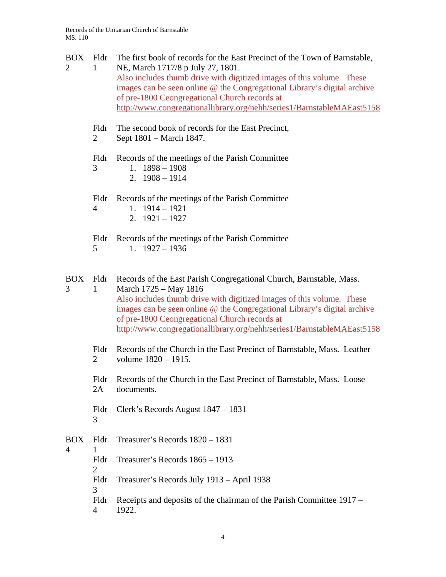| $\overline{2}$ | BOX Fldr<br>$\mathbf{1}$ | The first book of records for the East Precinct of the Town of Barnstable,<br>NE, March 1717/8 p July 27, 1801.<br>Also includes thumb drive with digitized images of this volume. These<br>images can be seen online @ the Congregational Library's digital archive<br>of pre-1800 Ceongregational Church records at<br>http://www.congregationallibrary.org/nehh/series1/BarnstableMAEast5158 |
|----------------|--------------------------|-------------------------------------------------------------------------------------------------------------------------------------------------------------------------------------------------------------------------------------------------------------------------------------------------------------------------------------------------------------------------------------------------|
|                | Fldr<br>$\overline{2}$   | The second book of records for the East Precinct,<br>Sept 1801 – March 1847.                                                                                                                                                                                                                                                                                                                    |
|                | Fldr<br>3                | Records of the meetings of the Parish Committee<br>1. $1898 - 1908$<br>2. $1908 - 1914$                                                                                                                                                                                                                                                                                                         |
|                | Fldr<br>$\overline{4}$   | Records of the meetings of the Parish Committee<br>$1. 1914 - 1921$<br>$2.1921 - 1927$                                                                                                                                                                                                                                                                                                          |
|                | Fldr<br>5                | Records of the meetings of the Parish Committee<br>1. $1927 - 1936$                                                                                                                                                                                                                                                                                                                             |
| 3              | BOX Fldr<br>1            | Records of the East Parish Congregational Church, Barnstable, Mass.<br>March 1725 - May 1816<br>Also includes thumb drive with digitized images of this volume. These<br>images can be seen online @ the Congregational Library's digital archive<br>of pre-1800 Ceongregational Church records at<br>http://www.congregationallibrary.org/nehh/series1/BarnstableMAEast5158                    |
|                | Fldr<br>$\overline{2}$   | Records of the Church in the East Precinct of Barnstable, Mass. Leather<br>volume $1820 - 1915$ .                                                                                                                                                                                                                                                                                               |
|                | Fldr<br>2A               | Records of the Church in the East Precinct of Barnstable, Mass. Loose<br>documents.                                                                                                                                                                                                                                                                                                             |
|                | Fldr<br>3                | Clerk's Records August $1847 - 1831$                                                                                                                                                                                                                                                                                                                                                            |
| <b>BOX</b>     | Fldr<br>1                | Treasurer's Records 1820 - 1831                                                                                                                                                                                                                                                                                                                                                                 |
| 4              | Fldr<br>$\overline{2}$   | Treasurer's Records 1865 - 1913                                                                                                                                                                                                                                                                                                                                                                 |
|                | Fldr<br>3                | Treasurer's Records July 1913 – April 1938                                                                                                                                                                                                                                                                                                                                                      |
|                | Fldr<br>$\overline{4}$   | Receipts and deposits of the chairman of the Parish Committee 1917 –<br>1922.                                                                                                                                                                                                                                                                                                                   |